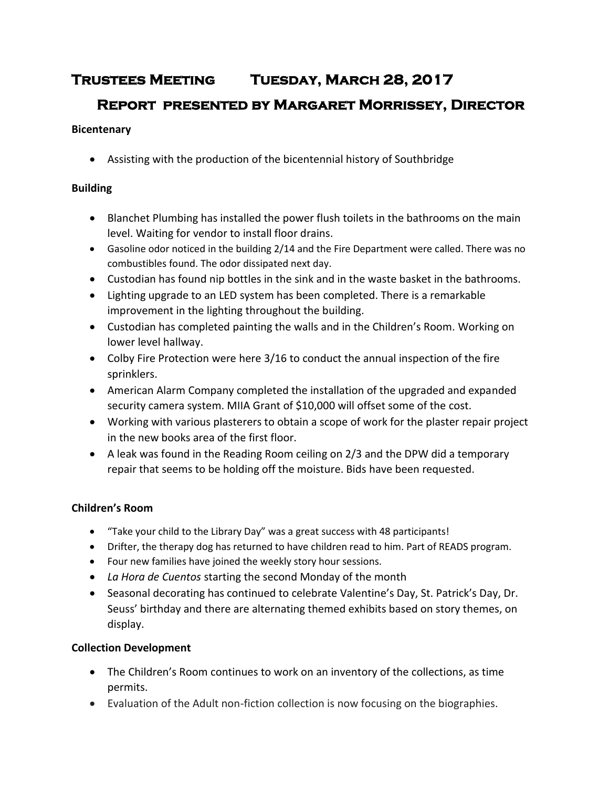# **Trustees Meeting Tuesday, March 28, 2017**

# **Report presented by Margaret Morrissey, Director**

# **Bicentenary**

Assisting with the production of the bicentennial history of Southbridge

# **Building**

- Blanchet Plumbing has installed the power flush toilets in the bathrooms on the main level. Waiting for vendor to install floor drains.
- Gasoline odor noticed in the building 2/14 and the Fire Department were called. There was no combustibles found. The odor dissipated next day.
- Custodian has found nip bottles in the sink and in the waste basket in the bathrooms.
- Lighting upgrade to an LED system has been completed. There is a remarkable improvement in the lighting throughout the building.
- Custodian has completed painting the walls and in the Children's Room. Working on lower level hallway.
- Colby Fire Protection were here 3/16 to conduct the annual inspection of the fire sprinklers.
- American Alarm Company completed the installation of the upgraded and expanded security camera system. MIIA Grant of \$10,000 will offset some of the cost.
- Working with various plasterers to obtain a scope of work for the plaster repair project in the new books area of the first floor.
- A leak was found in the Reading Room ceiling on 2/3 and the DPW did a temporary repair that seems to be holding off the moisture. Bids have been requested.

# **Children's Room**

- "Take your child to the Library Day" was a great success with 48 participants!
- Drifter, the therapy dog has returned to have children read to him. Part of READS program.
- Four new families have joined the weekly story hour sessions.
- *La Hora de Cuentos* starting the second Monday of the month
- Seasonal decorating has continued to celebrate Valentine's Day, St. Patrick's Day, Dr. Seuss' birthday and there are alternating themed exhibits based on story themes, on display.

# **Collection Development**

- The Children's Room continues to work on an inventory of the collections, as time permits.
- Evaluation of the Adult non-fiction collection is now focusing on the biographies.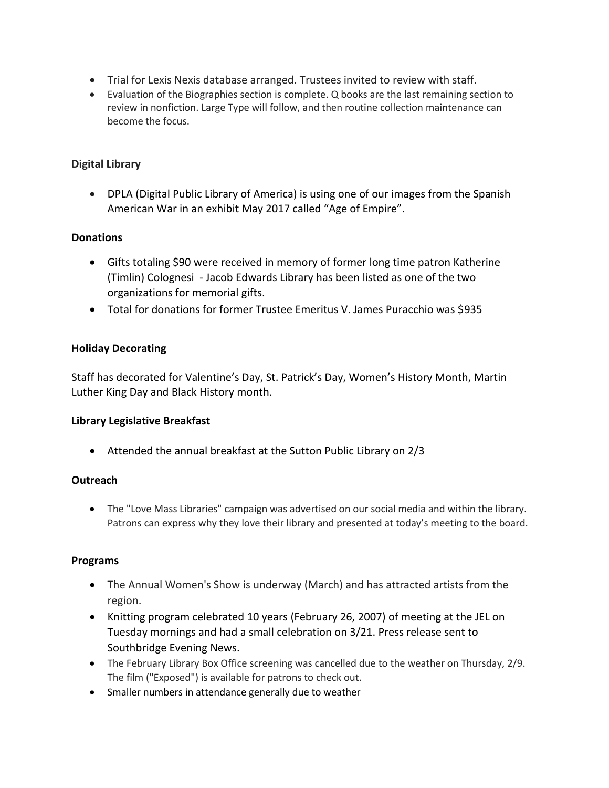- Trial for Lexis Nexis database arranged. Trustees invited to review with staff.
- Evaluation of the Biographies section is complete. Q books are the last remaining section to review in nonfiction. Large Type will follow, and then routine collection maintenance can become the focus.

#### **Digital Library**

 DPLA (Digital Public Library of America) is using one of our images from the Spanish American War in an exhibit May 2017 called "Age of Empire".

#### **Donations**

- Gifts totaling \$90 were received in memory of former long time patron Katherine (Timlin) Colognesi - Jacob Edwards Library has been listed as one of the two organizations for memorial gifts.
- Total for donations for former Trustee Emeritus V. James Puracchio was \$935

#### **Holiday Decorating**

Staff has decorated for Valentine's Day, St. Patrick's Day, Women's History Month, Martin Luther King Day and Black History month.

#### **Library Legislative Breakfast**

Attended the annual breakfast at the Sutton Public Library on 2/3

#### **Outreach**

 The "Love Mass Libraries" campaign was advertised on our social media and within the library. Patrons can express why they love their library and presented at today's meeting to the board.

#### **Programs**

- The Annual Women's Show is underway (March) and has attracted artists from the region.
- Knitting program celebrated 10 years (February 26, 2007) of meeting at the JEL on Tuesday mornings and had a small celebration on 3/21. Press release sent to Southbridge Evening News.
- The February Library Box Office screening was cancelled due to the weather on Thursday, 2/9. The film ("Exposed") is available for patrons to check out.
- Smaller numbers in attendance generally due to weather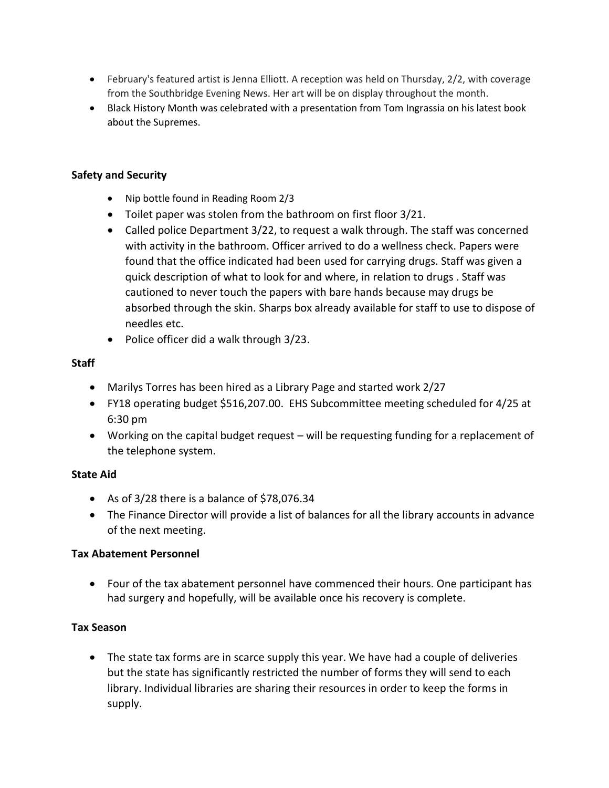- February's featured artist is Jenna Elliott. A reception was held on Thursday, 2/2, with coverage from the Southbridge Evening News. Her art will be on display throughout the month.
- Black History Month was celebrated with a presentation from Tom Ingrassia on his latest book about the Supremes.

### **Safety and Security**

- Nip bottle found in Reading Room 2/3
- Toilet paper was stolen from the bathroom on first floor 3/21.
- Called police Department 3/22, to request a walk through. The staff was concerned with activity in the bathroom. Officer arrived to do a wellness check. Papers were found that the office indicated had been used for carrying drugs. Staff was given a quick description of what to look for and where, in relation to drugs . Staff was cautioned to never touch the papers with bare hands because may drugs be absorbed through the skin. Sharps box already available for staff to use to dispose of needles etc.
- Police officer did a walk through 3/23.

## **Staff**

- Marilys Torres has been hired as a Library Page and started work 2/27
- FY18 operating budget \$516,207.00. EHS Subcommittee meeting scheduled for 4/25 at 6:30 pm
- Working on the capital budget request will be requesting funding for a replacement of the telephone system.

#### **State Aid**

- As of  $3/28$  there is a balance of  $$78,076.34$
- The Finance Director will provide a list of balances for all the library accounts in advance of the next meeting.

## **Tax Abatement Personnel**

 Four of the tax abatement personnel have commenced their hours. One participant has had surgery and hopefully, will be available once his recovery is complete.

## **Tax Season**

 The state tax forms are in scarce supply this year. We have had a couple of deliveries but the state has significantly restricted the number of forms they will send to each library. Individual libraries are sharing their resources in order to keep the forms in supply.